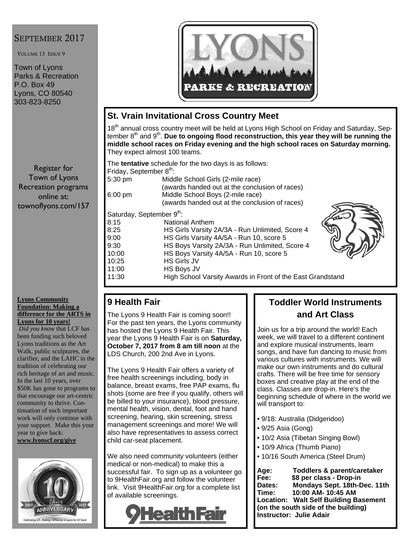## SEPTEMBER 2017

VOLUME 13 ISSUE 9

Town of Lyons Parks & Recreation P.O. Box 49 Lyons, CO 80540 303-823-8250

**PARKS & RECREATION** 

# **St. Vrain Invitational Cross Country Meet**

18<sup>th</sup> annual cross country meet will be held at Lyons High School on Friday and Saturday, September 8<sup>th</sup> and 9<sup>th</sup>. **Due to ongoing flood reconstruction, this year they will be running the middle school races on Friday evening and the high school races on Saturday morning.** They expect almost 100 teams.

The **tentative** schedule for the two days is as follows: Friday, September 8<sup>th</sup>:

| 5:30 pm                               | Middle School Girls (2-mile race)<br>(awards handed out at the conclusion of races) |
|---------------------------------------|-------------------------------------------------------------------------------------|
| $6:00$ pm                             | Middle School Boys (2-mile race)<br>(awards handed out at the conclusion of races)  |
| Saturday, September 9 <sup>th</sup> : |                                                                                     |
| 8:15                                  | <b>National Anthem</b>                                                              |
| 8:25                                  | HS Girls Varsity 2A/3A - Run Unlimited, Score 4                                     |
| 9:00                                  | HS Girls Varsity 4A/5A - Run 10, score 5                                            |
| 9:30                                  | HS Boys Varsity 2A/3A - Run Unlimited, Score 4                                      |
| 10:00                                 | HS Boys Varsity 4A/5A - Run 10, score 5                                             |
| 10:25                                 | <b>HS Girls JV</b>                                                                  |
| 11:00                                 | HS Boys JV                                                                          |
| 11:30                                 | High School Varsity Awards in Front of the East Grandstand                          |

#### **Lyons Community Foundation: Making a difference for the ARTS in Lyons for 10 years!**

*Did you know* that LCF has been funding such beloved Lyons traditions as the Art Walk, public sculptures, the clarifier, and the LAHC in the tradition of celebrating our rich heritage of art and music. In the last 10 years, over \$50K has gone to programs to that encourage our art-centric community to thrive. Continuation of such important work will only continue with your support. Make this your year to give back: **www.lyonscf.org/give**



# **9 Health Fair**

The Lyons 9 Health Fair is coming soon!! For the past ten years, the Lyons community has hosted the Lyons 9 Health Fair. This year the Lyons 9 Health Fair is on **Saturday, October 7, 2017 from 8 am till noon** at the LDS Church, 200 2nd Ave in Lyons.

The Lyons 9 Health Fair offers a variety of free health screenings including, body in balance, breast exams, free PAP exams, flu shots (some are free if you qualify, others will be billed to your insurance), blood pressure, mental health, vision, dental, foot and hand screening, hearing, skin screening, stress management screenings and more! We will also have representatives to assess correct child car-seat placement.

We also need community volunteers (either medical or non-medical) to make this a successful fair. To sign up as a volunteer go to 9HealthFair.org and follow the volunteer link. Visit 9HealthFair.org for a complete list of available screenings.



# **Toddler World Instruments and Art Class**

Join us for a trip around the world! Each week, we will travel to a different continent and explore musical instruments, learn songs, and have fun dancing to music from various cultures with instruments. We will make our own instruments and do cultural crafts. There will be free time for sensory boxes and creative play at the end of the class. Classes are drop-in. Here's the beginning schedule of where in the world we will transport to:

- 9/18: Australia (Didgeridoo)
- 9/25 Asia (Gong)
- 10/2 Asia (Tibetan Singing Bowl)
- 10/9 Africa (Thumb Piano)
- 10/16 South America (Steel Drum)

| Age:                                | Toddlers & parent/caretaker                  |  |  |
|-------------------------------------|----------------------------------------------|--|--|
| Fee:                                | \$8 per class - Drop-in                      |  |  |
| Dates:                              | Mondays Sept. 18th-Dec. 11th                 |  |  |
| Time:                               | 10:00 AM- 10:45 AM                           |  |  |
|                                     | <b>Location: Walt Self Building Basement</b> |  |  |
| (on the south side of the building) |                                              |  |  |
| <b>Instructor: Julie Adair</b>      |                                              |  |  |

Register for Town of Lyons Recreation programs online at: townoflyons.com/157